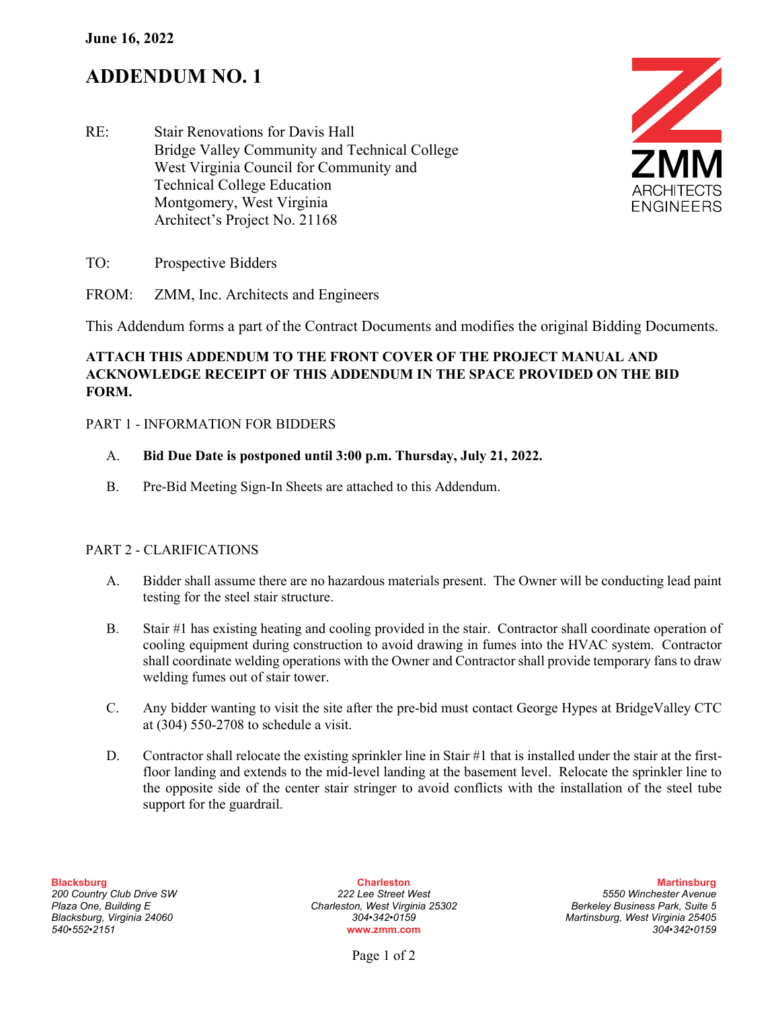# **ADDENDUM NO. 1**





- TO: Prospective Bidders
- FROM: ZMM, Inc. Architects and Engineers

This Addendum forms a part of the Contract Documents and modifies the original Bidding Documents.

## **ATTACH THIS ADDENDUM TO THE FRONT COVER OF THE PROJECT MANUAL AND ACKNOWLEDGE RECEIPT OF THIS ADDENDUM IN THE SPACE PROVIDED ON THE BID FORM.**

#### PART 1 - INFORMATION FOR BIDDERS

#### A. **Bid Due Date is postponed until 3:00 p.m. Thursday, July 21, 2022.**

B. Pre-Bid Meeting Sign-In Sheets are attached to this Addendum.

#### PART 2 - CLARIFICATIONS

- A. Bidder shall assume there are no hazardous materials present. The Owner will be conducting lead paint testing for the steel stair structure.
- B. Stair #1 has existing heating and cooling provided in the stair. Contractor shall coordinate operation of cooling equipment during construction to avoid drawing in fumes into the HVAC system. Contractor shall coordinate welding operations with the Owner and Contractor shall provide temporary fans to draw welding fumes out of stair tower.
- C. Any bidder wanting to visit the site after the pre-bid must contact George Hypes at BridgeValley CTC at (304) 550-2708 to schedule a visit.
- D. Contractor shall relocate the existing sprinkler line in Stair #1 that is installed under the stair at the firstfloor landing and extends to the mid-level landing at the basement level. Relocate the sprinkler line to the opposite side of the center stair stringer to avoid conflicts with the installation of the steel tube support for the guardrail.

*Plaza One, Building E Charleston, West Virginia 25302 Berkeley Business Park, Suite 5*

**Blacksburg Charleston Martinsburg** *200 Country Club Drive SW 222 Lee Street West 5550 Winchester Avenue Blacksburg, Virginia 24060 304•342•0159 Martinsburg, West Virginia 25405 540•552•2151* **www.zmm.com** *304•342•0159*

Page 1 of 2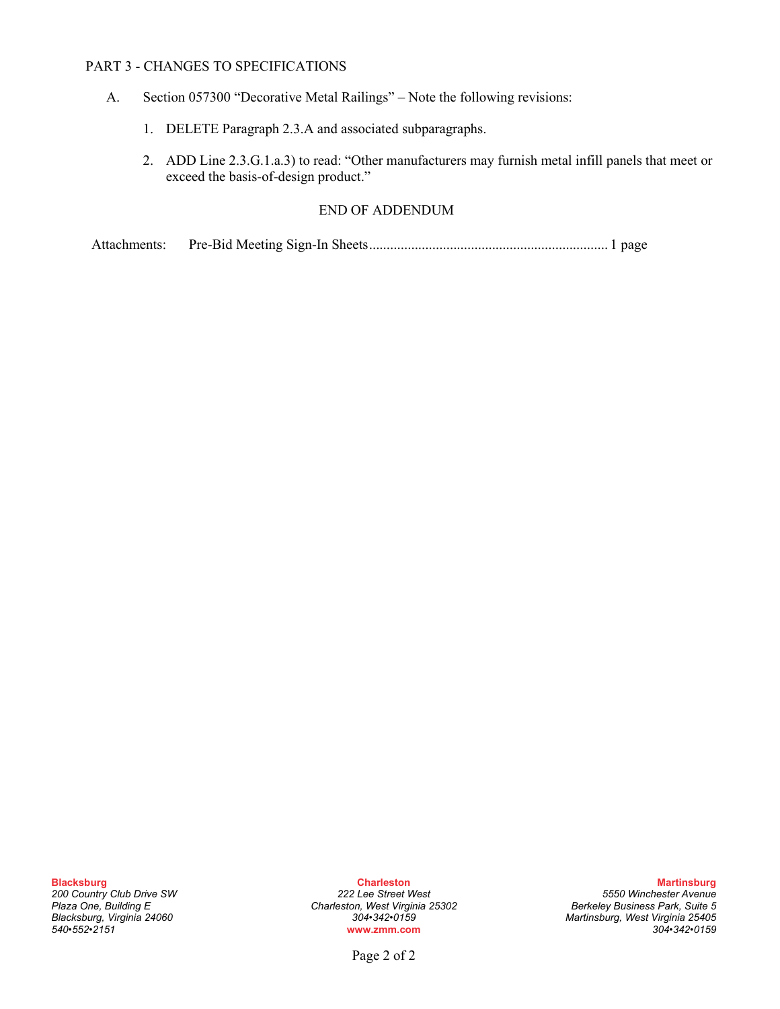#### PART 3 - CHANGES TO SPECIFICATIONS

- A. Section 057300 "Decorative Metal Railings" Note the following revisions:
	- 1. DELETE Paragraph 2.3.A and associated subparagraphs.
	- 2. ADD Line 2.3.G.1.a.3) to read: "Other manufacturers may furnish metal infill panels that meet or exceed the basis-of-design product."

### END OF ADDENDUM

Attachments: Pre-Bid Meeting Sign-In Sheets.................................................................... 1 page

*200 Country Club Drive SW 222 Lee Street West 5550 Winchester Avenue Plaza One, Building E Charleston, West Virginia 25302 Berkeley Business Park, Suite 5 Blacksburg, Virginia 24060 304•342•0159 Martinsburg, West Virginia 25405 540•552•2151* **www.zmm.com** *304•342•0159*

**Blacksburg Charleston Martinsburg**

Page 2 of 2